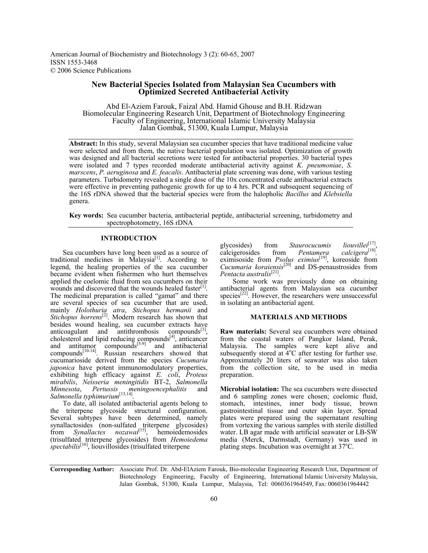American Journal of Biochemistry and Biotechnology 3 (2): 60-65, 2007 ISSN 1553-3468 © 2006 Science Publications

# **New Bacterial Species Isolated from Malaysian Sea Cucumbers with Optimized Secreted Antibacterial Activity**

Abd El-Aziem Farouk, Faizal Abd. Hamid Ghouse and B.H. Ridzwan Biomolecular Engineering Research Unit, Department of Biotechnology Engineering Faculty of Engineering, International Islamic University Malaysia Jalan Gombak, 51300, Kuala Lumpur, Malaysia

**Abstract:** In this study, several Malaysian sea cucumber species that have traditional medicine value were selected and from them, the native bacterial population was isolated. Optimization of growth was designed and all bacterial secretions were tested for antibacterial properties. 30 bacterial types were isolated and 7 types recorded moderate antibacterial activity against *K. pneumoniae*, *S. marscens*, *P. aeruginosa* and *E. feacalis*. Antibacterial plate screening was done, with various testing parameters. Turbidometry revealed a single dose of the 10x concentrated crude antibacterial extracts were effective in preventing pathogenic growth for up to 4 hrs. PCR and subsequent sequencing of the 16S rDNA showed that the bacterial species were from the halopholic *Bacillus* and *Klebsiella*  genera.

**Key words:** Sea cucumber bacteria, antibacterial peptide, antibacterial screening, turbidometry and spectrophotometry, 16S rDNA

## **INTRODUCTION**

 Sea cucumbers have long been used as a source of traditional medicines in Malaysia<sup>[1]</sup>. According to legend, the healing properties of the sea cucumber became evident when fishermen who hurt themselves applied the coelomic fluid from sea cucumbers on their wounds and discovered that the wounds healed faster<sup>[1]</sup>. The medicinal preparation is called "gamat" and there are several species of sea cucumber that are used, mainly *Holothuria atra*, *Stichopus hermanii* and *Stichopus horrens*[2]. Modern research has shown that besides wound healing, sea cucumber extracts have anticoagulant and antithrombosis compounds $[3]$ , cholesterol and lipid reducing  $\overline{_{c}}$  compounds<sup>[4]</sup>, anticancer and antitumor compounds $[5-9]$  and antibacterial compounds<sup>[10-14]</sup>. Russian researchers showed that cucumarioside derived from the species *Cucumaria japonica* have potent immunomodulatory properties, exhibiting high efficacy against *E. coli*, *Proteus mirabilis*, *Neisseria meningitidis* BT-2, *Salmonella Minnesota*, *Pertussis meningoencephalitis* and *Salmonella typhimurium*[13,14].

 To date, all isolated antibacterial agents belong to the triterpene glycoside structural configuration. Several subtypes have been determined, namely synallactosides (non-sulfated triterpene glycosides) from *Synallactes nozawai*<sup>[15]</sup>, hemoiedemosides (trisulfated triterpene glycosides) from *Hemoiedema spectabilis*[16], liouvillosides (trisulfated triterpene

glycosides) from *Staurocucumis liouvillei*<sup>[17]</sup>, calcigerosides from *Pentamera calcigera*<sup>[18]</sup>, calcigerosides from *Pentamera calcigera*[18]*,*  eximisoside from *Psolus eximius*[19], koreoside from *Cucumaria koraiensis*[20] and DS-penaustrosides from *Pentacta australis*[21].

 Some work was previously done on obtaining antibacterial agents from Malaysian sea cucumber species<sup>[22]</sup>. However, the researchers were unsuccessful in isolating an antibacterial agent.

#### **MATERIALS AND METHODS**

**Raw materials:** Several sea cucumbers were obtained from the coastal waters of Pangkor Island, Perak, Malaysia. The samples were kept alive and subsequently stored at  $4^{\circ}$ C after testing for further use. Approximately 20 liters of seawater was also taken from the collection site, to be used in media preparation.

**Microbial isolation:** The sea cucumbers were dissected and 6 sampling zones were chosen; coelomic fluid, stomach, intestines, inner body tissue, brown gastrointestinal tissue and outer skin layer. Spread plates were prepared using the supernatant resulting from vortexing the various samples with sterile distilled water. LB agar made with artificial seawater or LB-SW media (Merck, Darmstadt, Germany) was used in plating steps. Incubation was overnight at 37°C.

**Corresponding Author:** Associate Prof. Dr. Abd-ElAziem Farouk, Bio-molecular Engineering Research Unit, Department of Biotechnology Engineering, Faculty of Engineering, International Islamic University Malaysia, Jalan Gombak, 51300, Kuala Lumpur, Malaysia, Tel: 0060361964549, Fax: 0060361964442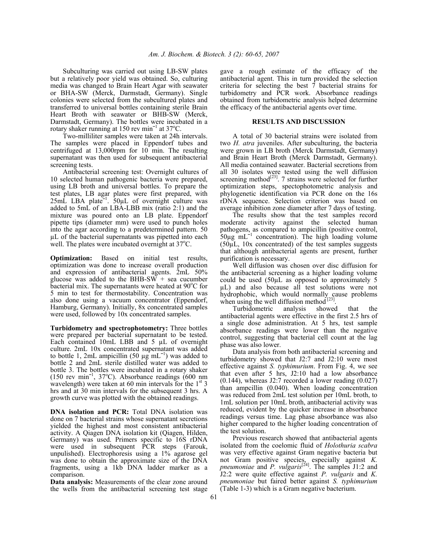Subculturing was carried out using LB-SW plates but a relatively poor yield was obtained. So, culturing media was changed to Brain Heart Agar with seawater or BHA-SW (Merck, Darmstadt, Germany). Single colonies were selected from the subcultured plates and transferred to universal bottles containing sterile Brain Heart Broth with seawater or BHB-SW (Merck, Darmstadt, Germany). The bottles were incubated in a rotary shaker running at 150 rev min<sup>-1</sup> at 37<sup>o</sup>C.

 Two-milliliter samples were taken at 24h intervals. The samples were placed in Eppendorf tubes and centrifuged at 13,000rpm for 10 min. The resulting supernatant was then used for subsequent antibacterial screening tests.

 Antibacterial screening test: Overnight cultures of 10 selected human pathogenic bacteria were prepared, using LB broth and universal bottles. To prepare the test plates, LB agar plates were first prepared, with  $25$ mL LBA plate<sup> $-1$ </sup>.  $50 \mu$ L of overnight culture was added to 5mL of an LBA-LBB mix (ratio 2:1) and the mixture was poured onto an LB plate. Eppendorf pipette tips (diameter mm) were used to punch holes into the agar according to a predetermined pattern. 50 µL of the bacterial supernatants was pipetted into each well. The plates were incubated overnight at  $37^{\circ}$ C.

**Optimization:** Based on initial test results, optimization was done to increase overall production and expression of antibacterial agents. 2mL 50% glucose was added to the BHB-SW + sea cucumber bacterial mix. The supernatants were heated at  $90^{\circ}$ C for 5 min to test for thermostability. Concentration was also done using a vacuum concentrator (Eppendorf, Hamburg, Germany). Initially, 8x concentrated samples were used, followed by 10x concentrated samples.

**Turbidometry and spectrophotometry:** Three bottles were prepared per bacterial supernatant to be tested. Each contained 10mL LBB and 5  $\mu$ L of overnight culture. 2mL 10x concentrated supernatant was added to bottle 1, 2mL ampicillin  $(50 \mu g \text{ mL}^{-1})$  was added to bottle 2 and 2mL sterile distilled water was added to bottle 3. The bottles were incubated in a rotary shaker  $(150 \text{ rev min}^{-1}, 37^{\circ}\text{C})$ . Absorbance readings  $(600 \text{ nm})$ wavelength) were taken at 60 min intervals for the  $1<sup>st</sup>$  3 hrs and at 30 min intervals for the subsequent 3 hrs. A growth curve was plotted with the obtained readings.

**DNA isolation and PCR:** Total DNA isolation was done on 7 bacterial strains whose supernatant secretions yielded the highest and most consistent antibacterial activity. A Qiagen DNA isolation kit (Qiagen, Hilden, Germany) was used. Primers specific to 16S rDNA were used in subsequent PCR steps (Farouk, unpulished). Electrophoresis using a 1% agarose gel was done to obtain the approximate size of the DNA fragments, using a 1kb DNA ladder marker as a comparison.

**Data analysis:** Measurements of the clear zone around the wells from the antibacterial screening test stage gave a rough estimate of the efficacy of the antibacterial agent. This in turn provided the selection criteria for selecting the best  $\bar{7}$  bacterial strains for turbidometry and PCR work. Absorbance readings obtained from turbidometric analysis helped determine the efficacy of the antibacterial agents over time.

#### **RESULTS AND DISCUSSION**

 A total of 30 bacterial strains were isolated from two *H. atra* juveniles. After subculturing, the bacteria were grown in LB broth (Merck Darmstadt, Germany) and Brain Heart Broth (Merck Darmstadt, Germany). All media contained seawater. Bacterial secretions from all 30 isolates were tested using the well diffusion screening method<sup>[23]</sup>. 7 strains were selected for further optimization steps, spectophotometric analysis and phylogenetic identification via PCR done on the 16s rDNA sequence. Selection criterion was based on average inhibition zone diameter after 7 days of testing.

 The results show that the test samples record moderate activity against the selected human pathogens, as compared to ampicillin (positive control,  $50\mu g$  mL<sup>-1</sup> concentration). The high loading volume  $(50\mu L, 10x$  concentrated) of the test samples suggests that although antibacterial agents are present, further purification is necessary.

 Well diffusion was chosen over disc diffusion for the antibacterial screening as a higher loading volume could be used (50µL as opposed to approximately 5 µL) and also because all test solutions were not hydrophobic, which would normally cause problems when using the well diffusion method  $[23]$ .

 Turbidometric analysis showed that the antibacterial agents were effective in the first 2.5 hrs of a single dose administration. At 5 hrs, test sample absorbance readings were lower than the negative control, suggesting that bacterial cell count at the lag phase was also lower.

 Data analysis from both antibacterial screening and turbidometry showed that J2:7 and J2:10 were most effective against *S. typhimurium*. From Fig. 4, we see that even after 5 hrs, J2:10 had a low absorbance (0.144), whereas J2:7 recorded a lower reading (0.027) than ampcillin (0.040). When loading concentration was reduced from 2mL test solution per 10mL broth, to 1mL solution per 10mL broth, antibacterial activity was reduced, evident by the quicker increase in absorbance readings versus time. Lag phase absorbance was also higher compared to the higher loading concentration of the test solution.

 Previous research showed that antibacterial agents isolated from the coelomic fluid of *Holothuria scabra* was very effective against Gram negative bacteria but not Gram positive species, especially against *K. pneumoniae* and *P. vulgaris*[24]. The samples J1:2 and J2:2 were quite effective against *P. vulgaris* and *K. pneumoniae* but faired better against *S. typhimurium* (Table 1-3) which is a Gram negative bacterium.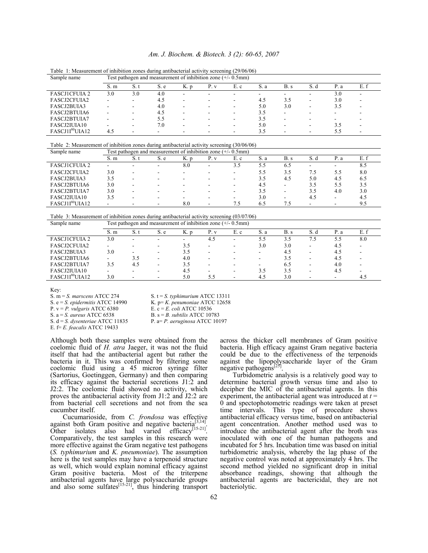#### *Am. J. Biochem. & Biotech. 3 (2): 60-65, 2007*

| Sample name                 | Test pathogen and measurement of inhibition zone $(+/- 0.5$ mm) |        |      |                          |                          |                          |      |      |                          |      |      |
|-----------------------------|-----------------------------------------------------------------|--------|------|--------------------------|--------------------------|--------------------------|------|------|--------------------------|------|------|
|                             | S.m                                                             | S.t    | S. e | K. p                     | P. v                     | E. c                     | S. a | B. s | S. d                     | P. a | E. f |
| <b>FASCJ1CFUIA 2</b>        | 3.0                                                             | 3.0    | 4.0  | $\overline{\phantom{0}}$ | -                        | -                        | -    |      | -                        | 3.0  |      |
| <b>FASCJ2CFUIA2</b>         | -                                                               |        | 4.5  | $\overline{\phantom{a}}$ | -                        | ۰.                       | 4.5  | 3.5  | -                        | 3.0  |      |
| FASCJ2BUIA3                 |                                                                 | $\sim$ | 4.0  | $\overline{\phantom{a}}$ | -                        | $\sim$                   | 5.0  | 3.0  | $\overline{\phantom{0}}$ | 3.5  |      |
| FASCJ2BTUIA6                |                                                                 | -      | 4.5  | $\blacksquare$           | $\overline{\phantom{0}}$ |                          | 3.5  |      |                          | -    |      |
| FASCJ2BTUIA7                |                                                                 |        | 5.5  | -                        |                          |                          | 3.5  |      |                          |      |      |
| FASCJ2IUIA10                |                                                                 | ۰      | 7.0  | $\blacksquare$           | -                        | $\overline{\phantom{0}}$ | 5.0  | -    | $\overline{\phantom{0}}$ | 3.5  | ۰    |
| FASCJ1I <sup>80</sup> UIA12 | 4.5                                                             |        |      | -                        |                          |                          | 3.5  |      |                          |      |      |

Table 1: Measurement of inhibition zones during antibacterial activity screening (29/06/06)

#### Table 2: Measurement of inhibition zones during antibacterial activity screening (30/06/06)

| Sample name                 | Test pathogen and measurement of inhibition zone $(+/- 0.5$ mm) |                          |                          |      |      |                          |      |                          |      |                          |     |
|-----------------------------|-----------------------------------------------------------------|--------------------------|--------------------------|------|------|--------------------------|------|--------------------------|------|--------------------------|-----|
|                             | S.m                                                             | S.t                      | S. e                     | K. p | P. v | E. c                     | S. a | B. s                     | S. d | P. a                     |     |
| <b>FASCJ1CFUIA 2</b>        | -                                                               | $\overline{\phantom{a}}$ | $\overline{\phantom{0}}$ | 8.0  | ۰    | 3.5                      | 5.5  | 6.5                      | -    | ۰                        | 8.5 |
| FASCJ2CFUIA2                | 3.0                                                             | $\overline{\phantom{a}}$ |                          | -    | -    | $\overline{\phantom{a}}$ | 5.5  | 3.5                      | 7.5  | 5.5                      | 8.0 |
| FASCJ2BUIA3                 | 3.5                                                             |                          |                          | -    | ۰    |                          | 3.5  | 4.5                      | 5.0  | 4.5                      | 6.5 |
| FASCJ2BTUIA6                | 3.0                                                             |                          |                          | -    | ۰.   |                          | 4.5  | -                        | 3.5  | 5.5                      | 3.5 |
| FASCJ2BTUIA7                | 3.0                                                             | -                        |                          | -    | ۰    | $\overline{\phantom{a}}$ | 3.5  | $\overline{\phantom{a}}$ | 3.5  | 4.0                      | 3.0 |
| FASCJ2IUIA10                | 3.5                                                             |                          |                          | -    | ۰.   |                          | 3.0  | -                        | 4.5  | -                        | 4.5 |
| FASCJ1I <sup>80</sup> UIA12 | -                                                               |                          | $\overline{\phantom{0}}$ | 8.0  | ۰    | 7.5                      | 6.5  | 7.5                      |      | $\overline{\phantom{0}}$ | 9.5 |

Table 3: Measurement of inhibition zones during antibacterial activity screening (03/07/06)

| E. f<br>S.t<br>P. v<br>E. c<br>B. s<br>S. a<br>S.m<br>S. e<br>P. a<br>K. p<br>S. d                                                                             |  |
|----------------------------------------------------------------------------------------------------------------------------------------------------------------|--|
| <b>FASCJ1CFUIA 2</b><br>8.0<br>3.0<br>3.5<br>7.5<br>4.5<br>5.5<br>5.5<br>$\overline{\phantom{a}}$<br>$\overline{\phantom{a}}$<br>-<br>$\overline{\phantom{0}}$ |  |
| FASCJ2CFUIA2<br>3.0<br>3.0<br>4.5<br>3.5<br>-<br>-<br>۰                                                                                                        |  |
| FASCJ2BUIA3<br>3.0<br>3.5<br>4.5<br>4.5<br>$\overline{\phantom{0}}$<br>-<br>-                                                                                  |  |
| FASCJ2BTUIA6<br>3.5<br>4.0<br>3.5<br>4.5<br>۰<br>۰                                                                                                             |  |
| FASCJ2BTUIA7<br>6.5<br>3.5<br>3.5<br>4.0<br>4.5<br>$\overline{\phantom{0}}$<br>-<br>-<br>-                                                                     |  |
| FASCJ2IUIA10<br>3.5<br>3.5<br>4.5<br>4.5<br>۰                                                                                                                  |  |
| FASCJ1I <sup>80</sup> UIA12<br>3.0<br>3.0<br>5.0<br>4.5<br>4.5<br>5.5<br>-                                                                                     |  |

Key:<br>S.  $m = S$ . marscens ATCC 274

S. m = *S. marscens* ATCC 274 S. t = *S. typhimurium* ATCC 13311<br>S. e = *S. epidermitis* ATCC 14990 K. p = *K. penumoniae* ATCC 12658

P. v = *P. vulgaris* ATCC 6380 E. c = *E. coli* ATCC 10536

S. d = *S. dysenteriae* ATCC 11835

B. s = *B. subtilis* ATCC 10783<br>P. a = *P. aeruginosa* ATCC 10197

S. e = *S. epidermitis* ATCC 14990 K. p= *K. penumoniae* ATCC 12658

E. f= *E. feacalis* ATCC 19433

Although both these samples were obtained from the coelomic fluid of *H. atra* Jaeger, it was not the fluid itself that had the antibacterial agent but rather the bacteria in it. This was confirmed by filtering some coelomic fluid using a 45 micron syringe filter (Sartorius, Goetinggen, Germany) and then comparing its efficacy against the bacterial secretions J1:2 and J2:2. The coelomic fluid showed no activity, which proves the antibacterial activity from J1:2 and J2:2 are from bacterial cell secretions and not from the sea cucumber itself.

 Cucumarioside, from *C. frondosa* was effective against both Gram positive and negative bacteria Other isolates also had varied efficacy<sup>[15-21]</sup>.<br>Comparatively, the test samples in this research were more effective against the Gram negative test pathogens (*S. typhimurium* and *K. pneumoniae*). The assumption here is the test samples may have a terpenoid structure as well, which would explain nominal efficacy against Gram positive bacteria. Most of the triterpene antibacterial agents have large polysaccharide groups and also some sulfates $[$ <sup>[15-21]</sup>, thus hindering transport across the thicker cell membranes of Gram positive bacteria. High efficacy against Gram negative bacteria could be due to the effectiveness of the terpenoids against the lipopolysaccharide layer of the Gram negative pathogens<sup>[25]</sup>.

Turbidometric analysis is a relatively good way to determine bacterial growth versus time and also to decipher the MIC of the antibacterial agents. In this experiment, the antibacterial agent was introduced at  $t =$ 0 and spectophotometric readings were taken at preset time intervals. This type of procedure shows antibacterial efficacy versus time, based on antibacterial agent concentration. Another method used was to introduce the antibacterial agent after the broth was inoculated with one of the human pathogens and incubated for 5 hrs. Incubation time was based on initial turbidometric analysis, whereby the lag phase of the negative control was noted at approximately 4 hrs. The second method yielded no significant drop in initial absorbance readings, showing that although the antibacterial agents are bactericidal, they are not bacteriolytic.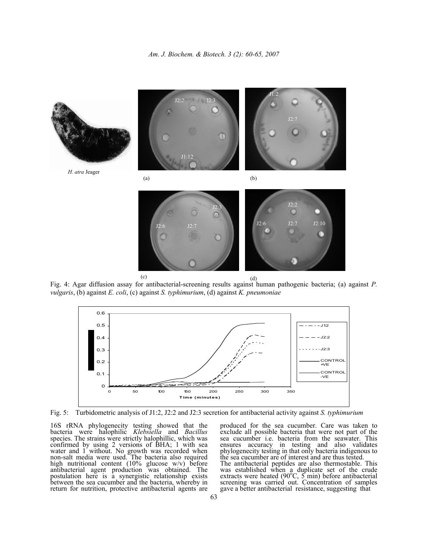

Fig. 4: Agar diffusion assay for antibacterial-screening results against human pathogenic bacteria; (a) against *P. vulgaris*, (b) against *E. coli*, (c) against *S. typhimurium*, (d) against *K. pneumoniae*



Fig. 5: Turbidometric analysis of J1:2, J2:2 and J2:3 secretion for antibacterial activity against *S. typhimurium*

16S rRNA phylogenecity testing showed that the bacteria were halophilic *Klebsiella* and *Bacillus* species. The strains were strictly halophillic, which was confirmed by using 2 versions of BHA; 1 with sea water and 1 without. No growth was recorded when non-salt media were used. The bacteria also required high nutritional content (10% glucose w/v) before antibacterial agent production was obtained. The postulation here is a synergistic relationship exists between the sea cucumber and the bacteria, whereby in return for nutrition, protective antibacterial agents are

produced for the sea cucumber. Care was taken to exclude all possible bacteria that were not part of the sea cucumber i.e. bacteria from the seawater. This ensures accuracy in testing and also validates phylogenecity testing in that only bacteria indigenous to the sea cucumber are of interest and are thus tested. The antibacterial peptides are also thermostable. This was established when a duplicate set of the crude extracts were heated (90°C, 5 min) before antibacterial screening was carried out. Concentration of samples gave a better antibacterial resistance, suggesting that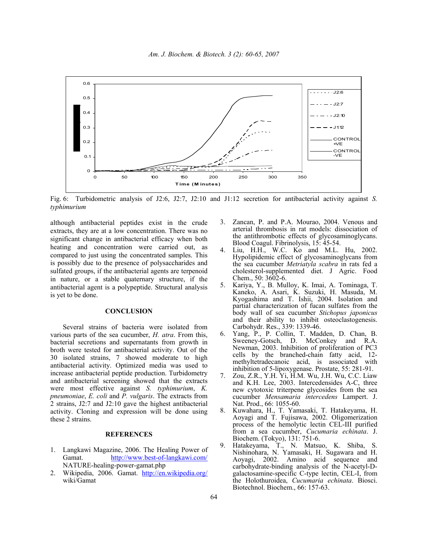

Fig. 6: Turbidometric analysis of J2:6, J2:7, J2:10 and J1:12 secretion for antibacterial activity against *S. typhimurium*

although antibacterial peptides exist in the crude extracts, they are at a low concentration. There was no significant change in antibacterial efficacy when both heating and concentration were carried out, as compared to just using the concentrated samples. This is possibly due to the presence of polysaccharides and sulfated groups, if the antibacterial agents are terpenoid in nature, or a stable quaternary structure, if the antibacterial agent is a polypeptide. Structural analysis is yet to be done.

## **CONCLUSION**

 Several strains of bacteria were isolated from various parts of the sea cucumber, *H. atra*. From this, bacterial secretions and supernatants from growth in broth were tested for antibacterial activity. Out of the 30 isolated strains, 7 showed moderate to high antibacterial activity. Optimized media was used to increase antibacterial peptide production. Turbidometry and antibacterial screening showed that the extracts were most effective against *S. typhimurium*, *K. pneumoniae*, *E. coli* and *P. vulgaris*. The extracts from 2 strains, J2:7 and J2:10 gave the highest antibacterial activity. Cloning and expression will be done using these 2 strains.

## **REFERENCES**

- 1. Langkawi Magazine, 2006. The Healing Power of Gamat. http://www.best-of-langkawi.com/ NATURE-healing-power-gamat.php
- 2. Wikipedia, 2006. Gamat. http://en.wikipedia.org/ wiki/Gamat
- 3. Zancan, P. and P.A. Mourao, 2004. Venous and arterial thrombosis in rat models: dissociation of the antithrombotic effects of glycosaminoglycans. Blood Coagul. Fibrinolysis, 15: 45-54.
- 4. Liu, H.H., W.C. Ko and M.L. Hu, 2002. Hypolipidemic effect of glycosaminoglycans from the sea cucumber *Metriatyla scabra* in rats fed a cholesterol-supplemented diet. J Agric. Food Chem., 50: 3602-6.
- 5. Kariya, Y., B. Mulloy, K. Imai, A. Tominaga, T. Kaneko, A. Asari, K. Suzuki, H. Masuda, M. Kyogashima and T. Ishii, 2004. Isolation and partial characterization of fucan sulfates from the body wall of sea cucumber *Stichopus japonicus* and their ability to inhibit osteoclastogenesis. Carbohydr. Res., 339: 1339-46.
- 6. Yang, P., P. Collin, T. Madden, D. Chan, B. D. McConkey and R.A. Newman, 2003. Inhibition of proliferation of PC3 cells by the branched-chain fatty acid, 12 methyltetradecanoic acid, is associated with inhibition of 5-lipoxygenase. Prostate, 55: 281-91.
- 7. Zou, Z.R., Y.H. Yi, H.M. Wu, J.H. Wu, C.C. Liaw and K.H. Lee, 2003. Intercedensides A-C, three new cytotoxic triterpene glycosides from the sea cucumber *Mensamaria intercedens* Lampert. J. Nat. Prod., 66: 1055-60.
- 8. Kuwahara, H., T. Yamasaki, T. Hatakeyama, H. Aoyagi and T. Fujisawa, 2002. Oligomerization process of the hemolytic lectin CEL-III purified from a sea cucumber, *Cucumaria echinata*. J. Biochem. (Tokyo), 131: 751-6.
- 9. Hatakeyama, T., N. Matsuo, K. Shiba, S. Nishinohara, N. Yamasaki, H. Sugawara and H. Aoyagi, 2002. Amino acid sequence and carbohydrate-binding analysis of the N-acetyl-Dgalactosamine-specific C-type lectin, CEL-I, from the Holothuroidea, *Cucumaria echinata*. Biosci. Biotechnol. Biochem., 66: 157-63.